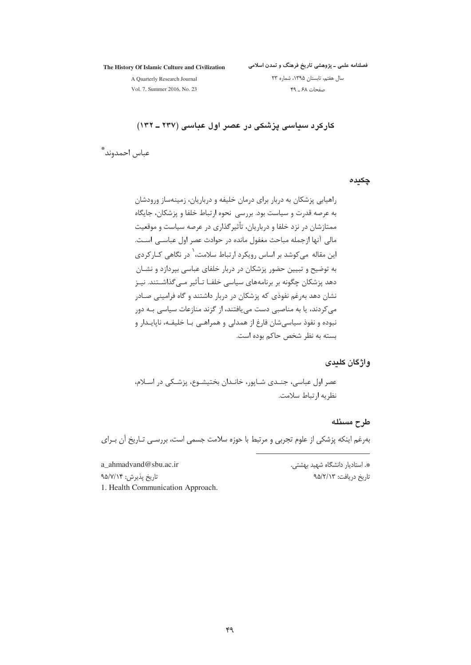The History Of Islamic Culture and Civilization

فصلنامه علمی ــ پژوهشی تاریخ فرهنگ و تمدن اسلامی

A Quarterly Research Journal

سال هفتم، تابستان ١٣٩۵، شماره ٢٣ صفحات ۶۸ ـ ۴۹

Vol. 7, Summer 2016, No. 23

کارکر د سیاسی پزشکی در عصر اول عباسی (۲۳۷ ــ ۱۳۲)

عباس احمدوند ٌ

چکیدہ

راهیابی پزشکان به دربار برای درمان خلیفه و درباریان، زمینهساز ورودشان به عرصه قدرت و سیاست بود. بررسی نحوه ارتباط خلفا و پزشکان، جایگاه ممتازشان در نزد خلفا و درباریان، تأثیرگذاری در عرصه سیاست و موقعیت مالی آنها ازجمله مباحث مغفول مانده در حوادث عصر اول عباســی اســت. این مقاله می کوشد بر اساس رویکرد ارتباط سلامت، <sup>۱</sup> در نگاهی کــار کردی به توضیح و تبیین حضور پزشکان در دربار خلفای عباسی بپردازد و نشــان دهد پزشکان چگونه بر برنامههای سیاسی خلفـا تـأثیر مــ ،گذاشــتند. نیــز نشان دهد بهرغم نفوذی که پزشکان در دربار داشتند و گاه فرامینی صـادر می کردند، یا به مناصبی دست می یافتند، از گزند منازعات سیاسی بـه دور نبوده و نفوذ سیاسی شان فارغ از همدلی و همراهـی بـا خلیفـه، ناپایـدار و بسته به نظر شخص حاکم بوده است.

واژگان کلیدی

عصر اول عباسی، جنـدی شـاپور، خانـدان بختیشـوع، پزشـکی در اسـلام، نظريه ارتباط سلامت.

طرح مسئله

بهرغم اینکه پزشکی از علوم تجربی و مرتبط با حوزه سلامت جسمی است، بررسـی تـاریخ آن بـرای

a ahmadvand@sbu.ac.ir \*. استادبار دانشگاه شهید بهشتی. تاریخ دریافت: ۹۵/۲/۱۳

تاريخ پذيرش: ۹۵/۷/۱۴ 1. Health Communication Approach.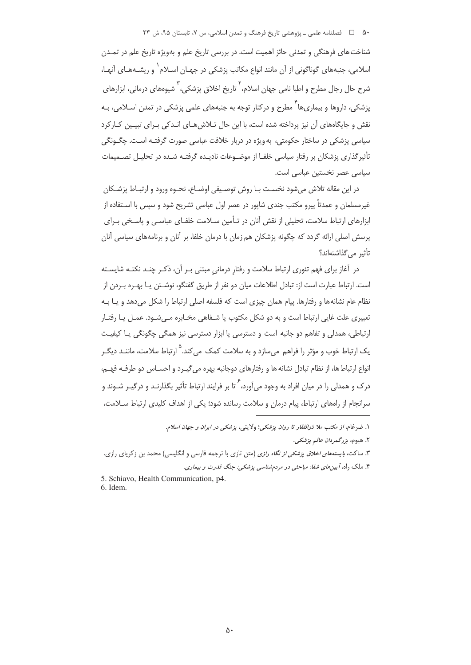۵۰ فصلنامه علمی ـ یژوهشی تاریخ فرهنگ و تمدن اسلامی، س ۷، تابستان ۹۵، ش ۲۳

شناخت های فرهنگی و تمدنی حائز اهمیت است. در بررسی تاریخ علم و بهویژه تاریخ علم در تمـدن اسلامی، جنبههای گوناگونی از آن مانند انواع مکاتب پزشکی در جهـان اسـلام` و ریشـههـای آنهـا، شرح حال رجال مطرح و اطبا نامی جهان اسلام،<sup>۲</sup> تاریخ اخلاق پزشکی،<sup>۳</sup> شیوههای درمانی، ابزارهای یزشکی، داروها و بیماریها<sup>۲</sup> مطرح و درکنار توجه به جنبههای علمی پزشکی در تمدن اسـلامی، بـه نقش و جایگاههای آن نیز پرداخته شده است، با این حال تـلاش هـای انـدکی بـرای تبیـین کـارکرد سیاسی پزشکی در ساختار حکومتی، به ویژه در دربار خلافت عباسی صورت گرفتـه اسـت. چگـونگی تأثیرگذاری پزشکان بر رفتار سیاسی خلفـا از موضـوعات نادیـده گرفتـه شـده در تحلیـل تصــمیمات سیاسی عصر نخستین عباسی است.

در این مقاله تلاش میشود نخست بـا روش توصـیفی اوضـاع، نحـوه ورود و ارتبـاط پزشـکان غیرمسلمان و عمدتاً پیرو مکتب جندی شاپور در عصر اول عباسی تشریح شود و سپس با اسـتفاده از ابزارهای ارتباط سلامت، تحلیلی از نقش آنان در تـأمین سـلامت خلفـای عباسـی و پاسـخی بـرای پرسش اصلی ارائه گردد که چگونه پزشکان هم زمان با درمان خلفا، بر آنان و برنامههای سیاسی آنان تأثير مر كذاشتهاند؟

در آغاز برای فهم تئوری ارتباط سلامت و رفتار درمانی مبتنی بـر آن، ذکـر چنـد نکتـه شایسـته است. ارتباط عبارت است از: تبادل اطلاعات میان دو نفر از طریق گفتگو، نوشــتن یــا بهـره بــردن از نظام عام نشانهها و رفتارها. پیام همان چیزی است که فلسفه اصلی ارتباط را شکل می دهد و پیا بـه تعبیری علت غایی ارتباط است و به دو شکل مکتوب یا شـفاهی مخـابره مـیشـود. عمـل یـا رفتـار ارتباطی، همدلی و تفاهم دو جانبه است و دسترسی یا ابزار دسترسی نیز همگی چگونگی یـا کیفیـت یک ارتباط خوب و مؤثر را فراهم مے سازد و به سلامت کمک مے کند. <sup>۵</sup> ارتباط سلامت، ماننـد دیگـر .<br>انواع ارتباط ها، از نظام تبادل نشانه ها و رفتارهای دوجانبه بهره می گیـرد و احسـاس دو طرفـه فهـم، درک و همدلی را در مبان افراد به وجود می آورد، ۲ تا بر فرایند ارتباط تأثیر بگذارنید و درگیر شیوند و سرانجام از راههای ارتباط، پیام درمان و سلامت رسانده شود؛ یکی از اهداف کلیدی ارتباط سـلامت،

۴. ملک راه، آیینهای شفا: مباحثبی در مردمشناسی پزشکمی: جنگ قدرت و بیماری. 5. Schiavo, Health Communication, p4.

6 Idem

۱. ضرغام، *از مكتب ملا ذوالفقار تا روان پزشكي*؛ ولايتي، پزش*كي در ايران و جهان اسلام*. ٢. هيوم، بزرگمردان عالم يزشكي. ۳. ساکت، *بایستههای اخلاق پزشکی از نگاه رازی* (متن تازی با ترجمه فارسی و انگلیسی) محمد بن زکریای رازی.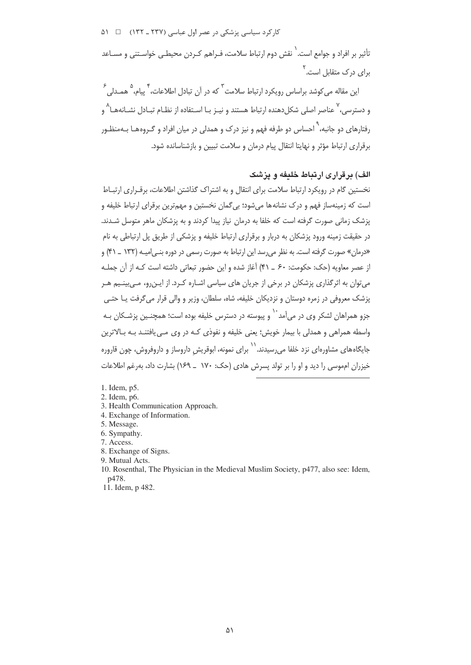کار کرد سیاسی پزشکی در عصر اول عباسی (۲۳۷ ـ ۱۳۲) = ۵۱

۔<br>تأثیر پر افراد و جوامع است. ٰ نقش دوم ارتباط سلامت، ف راهم کے دن محیطے ِ خواستنے و مسـاعد رای درک متقابل است.<sup>۲</sup>

این مقاله می کوشد براساس رویکرد ارتباط سلامت<sup>۳</sup> که در آن تبادل اطلاعات، <sup>۴</sup> سام، <sup>۵</sup> همـدلـ ۶ و دسترسی، <sup>۲</sup> عناصر اصلی شکل دهنده ارتباط هستند و نیـز بـا اسـتفاده از نظـام تبـادل نشـانههـا^ و ,فتارهای دو جانبه، <sup>۲</sup> احساس دو طرفه فهم و نیز درک و همدلی در میان افراد و گـروههـا بـهمنظـور برقراری ارتباط مؤثر و نهایتا انتقال پیام درمان و سلامت تبیین و بازشناسانده شود.

# الف) پر قراری ارتباط خلیفه و پزشک

نخستین گام در رویکرد ارتباط سلامت برای انتقال و به اشتراک گذاشتن اطلاعات، برقـراری ارتبـاط است که زمینهساز فهم و درک نشانهها می شود؛ بی گمان نخستین و مهمترین برقرای ارتباط خلیفه و یزشک زمانی صورت گرفته است که خلفا به درمان نیاز پیدا کردند و به پزشکان ماهر متوسل شــدند. در حقیقت زمینه ورود پزشکان به دربار و برقراری ارتباط خلیفه و پزشکی از طریق پل ارتباطی به نام «درمان» صورت گرفته است. به نظر می رسد این ارتباط به صورت رسمی در دوره بنــ امیـه (۱۳۲ \_ ۴۱) و از عصر معاویه (حک: حکومت: ۶۰ \_ ۴۱) آغاز شده و این حضور تبعاتی داشته است کـه از آن جملـه مے توان به اثر گذاری پزشکان در برخی از جریان های سیاسی اشـاره کـرد. از ایـن٫رو، مـے٫بینـبـه هـر یزشک معروفی در زمره دوستان و نزدیکان خلیفه، شاه، سلطان، وزیر و والی قرار می گرفت یـا حتـی حزو همراهان لشکر وی در می آمد ` و پیوسته در دسترس خلیفه بوده است؛ همچنـین بزشـکان بـه واسطه همراهی و همدلی با بیمار خویش؛ یعنی خلیفه و نفوذی کـه در وی مـی یافتنـد بـه بـالاترین جایگاههای مشاورهای نزد خلفا می<sub>،</sub>رسیدند. <sup>۱۱</sup> برای نمونه، ابوقریش داروساز و داروفروش، چون قاروره خیزران امموسی را دید و او را بر تولد پسرش هادی (حک: ۱۷۰ \_ ۱۶۹) بشارت داد، بهرغم اطلاعات

- 1. Idem. p5.
- 2. Idem, p6.
- 3. Health Communication Approach.
- 4. Exchange of Information.
- 5. Message.
- 6. Sympathy.
- 7. Access.
- 8. Exchange of Signs.
- 9. Mutual Acts.
- 10. Rosenthal, The Physician in the Medieval Muslim Society, p477, also see: Idem, p478.
- 11. Idem, p 482.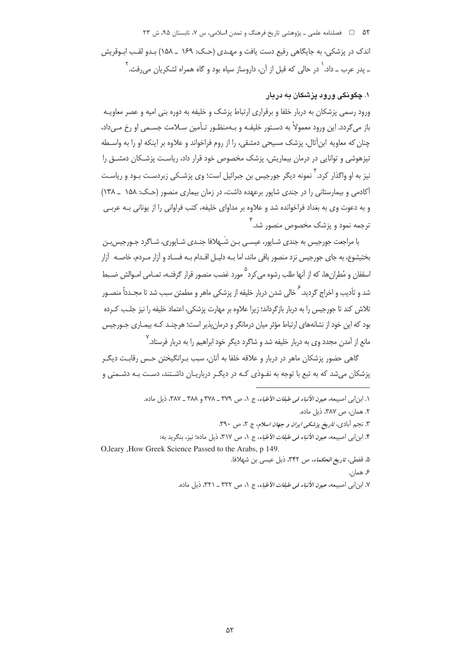### ۵۲ = ح فصلنامه علمی ـ یژوهشی تاریخ فرهنگ و تمدن اسلامی، س ۷، تابستان ۹۵، ش ۲۳

اندک در پزشکی، به جایگاهی رفیع دست بافت و مهیدی (حیک: ۱۶۹ \_ ۱۵۸) پیدو لقب ایوقریش ـ يدر عرب ــ داد. <sup>\</sup> در حالي كه قبل از آن، داروساز سپاه بود و گاه همراه لشكريان مي,فت. <sup>٢</sup>

## ۱. چگونگی ورود پزشکان به دربار

ورود رسمی پزشکان به دربار خلفا و برقراری ارتباط پزشک و خلیفه به دوره بنی امیه و عصر معاویـه باز مي گردد. اين ورود معمولاً به دسـتور خليفـه و بـهمنظـور تـأمين سـلامت جسـمي او رخ مـي داد، جنان که معاویه این أثال، پزشک مسیحی دمشقی، را از روم فراخواند و علاوه بر اینکه او را به واسیطه .<br>تیزهوشی و توانایی در درمان بیماریش، پزشک مخصوص خود قرار داد، ریاست پزشـکان دمشــق را نیز به او واگذار کرد. ٰ نمونه دیگر جورجیس بن جبرائیل است؛ وی یزشـکی زبردسـت بـود و ریاسـت آکادمی و بیمارستانی را در جندی شایور برعهده داشت، در زمان بیماری منصور (حـک: ۱۵۸ \_ ۱۳۸) و به دعوت وی به بغداد فراخوانده شد و علاوه بر مداوای خلیفه، کتب فراوانی را از یونانی بـه عربـی ۔<br>ترجمه نمود و پزشک مخصوص منصور شد.

با مراجعت جورجیس به جندی شـاپور، عیسـی بـن شَـهلافا جنـدی شـاپوری، شـاگرد جـورجیس بـن بختیشوع، به جای جورجیس نزد منصور باقی ماند، اما بـه دلیـل اقـدام بـه فسـاد و آزار مـردم، خاصـه |آزار اسقفان و مُطران ها، که از آنها طلب رشوه مر کرد مورد غضب منصور قرار گرفتـه، تمـامر امـوالش ضـبط .<br>شد و تأديب و اخراج گرديد. <sup>ع</sup> خالي شدن دربار خليفه از پزشكي ماهر و مطمئن سبب شد تا مجــدداً منصــور .<br>تلاش کند تا جورجیس را به دربار بازگرداند؛ زیرا علاوه بر مهارت پزشکی، اعتماد خلیفه را نیز جلـب کـرده بود که این خود از نشانههای ارتباط مؤثر میان درمانگر و درمان پذیر است؛ هرچنـد کـه بیمـاری جـورجیس ۷<br>مانع از آمدن محدد وی به دربار خلیفه شد و شاگرد دیگر خود ابراهیم را به دربار فرستاد.

گاهی حضور پزشکان ماهر در دربار و علاقه خلفا به آنان، سبب بـرانگیختن حـس رقابـت دیگـر یزشکان می شد که به تبع با توجه به نفـوذی کـه در دیگـر درباریـان داشـتند، دسـت بـه دشـمنی و

١. ابن ابي اصيبعه، عي*ون الأنباء في طبقات الأطباء*، ج ١، ص ٣٧٩ \_ ٣٧٨ و ٣٨٨ \_ ٣٨٧، ذيل ماده. ٢. همان، ص ٣٨٧، ذيل ماده. ۳. نجم أبادي، *تاريخ پزشکي ايران و جهان اسلام*، ج ۲، ص ۳۹۰. ۴. ابن ابي اصيبعه، *عيون الأنباء في طبقات الأطباء*، ج ١، ص ٣١٧، ذيل ماده؛ نيز، بنگريد به: O, leary , How Greek Science Passed to the Arabs, p 149. ۵. قفطی، *تاریخ الحکماء*، ص ۳۴۲، ذیل عیسه ً بن شهلافا. ۶ همان. ٧. ابن ابي اصيبعه، عيون الأنباء في طبقات الأطباء، ج ١، ص ٣٢٢ \_ ٣٢١، ذيل ماده.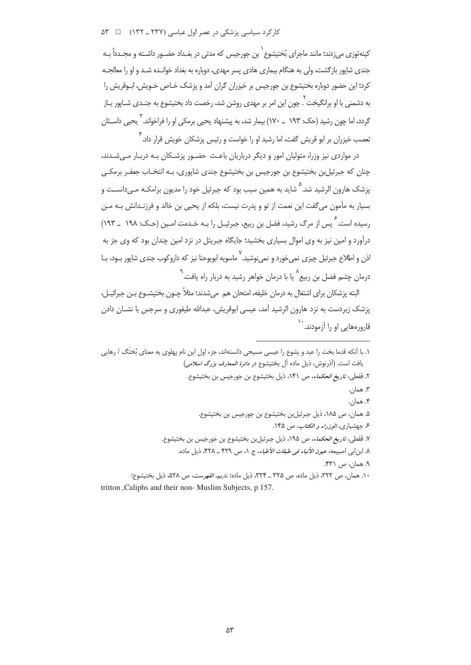کار کرد سیاسی پزشکی در عصر اول عباسی (۲۳۷ ـ ۱۳۲) = ۵۳

ِ<br>کینهتوزی می;دند؛ مانند ماجرای بُختیشوع ٰ بن جورجس ِ که مدتی در بغیداد حضیور داشته و محیدداً بیه جندی شاپور بازگشت، ولی به هنگام بیماری هادی پسر مهدی، دوباره به بغداد خوانـده شـد و او را معالجـه کرد؛ این حضور دوباره بختیشوع بن جورجیس بر خیزران گران آمد و پزشک خـاص خـویش، ابـوقریش را به دشمنی با او برانگیخت ۲ <sub>جون</sub> این امر بر مهدی روشن شد، رخصت داد بختیشوع به جنـدی شـایور بـاز گردد، اما چون رشید (حک: ۱۹۳ ــ ۱۷۰) بیمار شد، به پیشنهاد یحیی برمکی او را فراخواند. ۳ یحیی داسـتان ِ<br>تعصب خبزران بر ابو قریش گفت، اما رشید او را خواست و رئیس بزشکان خویش قرار داد.

در مواردی نیز وزرا، متولیان امور و دیگر درباریان باعـث حضـور پزشـکان بـه دربـار مـی شـدند، چنان که جبرئیل بن بختیشوع بن جورجیس بن بختیشوع جندی شاپوری، بـه انتخـاب جعفـر برمکـی پزشک هارون الرشید شد.<sup>۵</sup> شاید به همین سبب بود که جبرئیل خود را مدیون برامکـه مـیcانسـت و بسيار به مأمون مي گفت اين نعمت از تو و پدرت نيست، بلكه از يحيى بن خالد و فرزنـدانش بـه مـن رسیده است. <sup>۶</sup> پس از مرگ رشید، فضل بن ربیع، جبرئیـل را بـه خـدمت امـین (حـک: ۱۹۸ ــ ۱۹۳) درآورد و امین نیز به وی اموال بسیاری بخشید؛ جایگاه جبریئل در نزد امین چندان بود که وی جز به اذن و اطلاع جبرئیل چیزی نمی خورد و نمی نوشید. <sup>۷</sup> ماسویه ابویوحنا نیز که داروکوب جندی شایور بـود، بــا درمان چشم فضل بن ربیع ً یا با درمان خواهر رشید به دربار راه یافت. <sup>۹</sup>

البته پزشکان برای اشتغال به درمان خلیفه، امتحان هم میشدند؛ مثلاً چـون بختیشــوع بــن جبرائیــل، یزشک زبردست به نزد هارون الرشید آمد، عیسی ابوقریش، عبدالله طیفوری و سرجس با نشــان دادن .<br>قارورههایی او را آزمودند. ``

١. با أنكه قدما بخت را عبد و يشوع را عيسى مسيحى دانستهاند، جزء اول اين نام يهلوي به معناي بُختَگ / رهايي يافت است. (آذرنوش، ذيل ماده آل بختيشوع در *دائرة المعارف بزرگ اسلامي)* ٢. قفطي، ت*اريغ الحكماء*، ص ١۴١، ذيل بختيشوع بن جورجيس بن بختيشوع. ٣. همان. ۴. همان. ۵. همان، ص ۱۸۵، ذیل جبرئیلبن بختیشوع بن جورجیس بن بختیشوع. ۶. جهشیاری، *الوزراء و الکتاب*، ص ۱۴۵. ٧. قفطي، ت*اريخ الحكماء*، ص ١٩٥، ذيل جبرئيل بن بختيشوع بن جورجيس بن بختيشوع. ٨. ابن ابي اصيبعه، *عيون الأنباء في طبقات الأطباء*، ج ١، ص ٤٢٩ ـ ٤٢٨، ذيل ماده. ۹. همان، ص ۴۳۱. ١٠. همان، ص ٣٢٢، ذيل ماده، ص ٣٢٥ \_ ٣٢۴، ذيل ماده؛ نديم، *الفهرست*، ص ٥٢٨، ذيل بختيشوع؛ tritton Caliphs and their non- Muslim Subjects, p 157.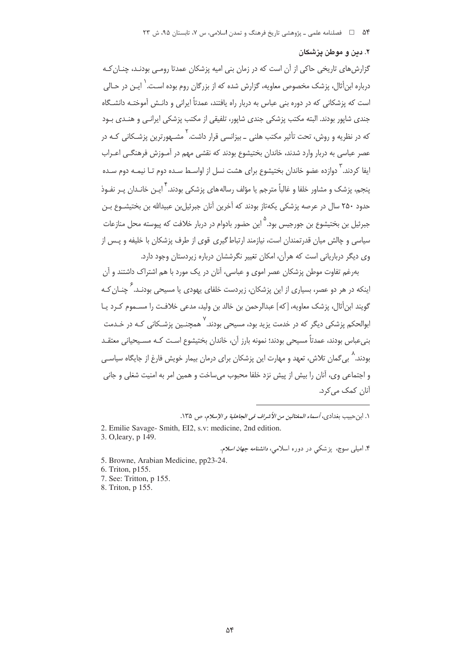#### ٢. دين و موطن يزشكان

گزارش های تاریخی حاکی از آن است که در زمان بنی امیه پزشکان عمدتا رومـی بودنـد، چنـان کـه درباره اینأثال، پزشک مخصوص معاویه، گزارش شده که از بزرگان روم بوده اسـت. ٰ ایـن در حـالی است که پزشکانی که در دوره بنی عباس به دربار راه یافتند، عمدتاً ایرانی و دانـش آموختـه دانشــگاه جندی شایور بودند. البته مکتب پزشکی جندی شایور، تلفیقی از مکتب پزشکی ایرانـی و هنـدی بـود که در نظریه و روش، تحت تأثیر مکتب هلنی \_ بیزانسی قرار داشت.<sup>۲</sup> مشـهورترین پزشـکانی کـه در عصر عباسی به دربار وارد شدند، خاندان بختیشوع بودند که نقشی مهم در آمـوزش فرهنگـی اعـراب ابفا کردند. <sup>۲</sup> دوازده عضو خاندان بختیشوع برای هشت نسل از اواسـط سـده دوم تـا نیمـه دوم سـده ينجم، يزشک و مشاور خلفا و غالباً مترجم يا مؤلف رساله هاي يزشکي بودند. <sup>۴</sup> ايـن خانـدان پـر نفـوذ حدود ۲۵۰ سال در عرصه یزشکی یکهتاز بودند که آخرین آنان جبرئیل بن عبیدالله بن بختیشــوع بــن جبرئیل بن بختیشوع بن جورجیس بود.<sup>۵</sup> این حضور بادوام در دربار خلافت که پیوسته محل منازعات سیاسی و چالش میان قدرتمندان است، نیازمند ارتباط گیری قوی از طرف پزشکان با خلیفه و پـس از وی دیگر درباریانی است که هرآن، امکان تغییر نگرششان درباره زیردستان وجود دارد.

بهرغم تفاوت موطن پزشکان عصر اموی و عباسی، آنان در یک مورد با هم اشتراک داشتند و آن اینکه در هر دو عصر، بسیاری از این بزشکان، زیردست خلفای بهودی با مسیحی بودنـد. <sup>۶</sup> جنـان کـه گویند ابنأثال، پزشک معاویه، [که] عبدالرحمن بن خالد بن ولید، مدعی خلافت را مسـموم کـرد یـا ابوالحکم یزشکی دیگر که در خدمت یزید بود، مسیحی بودند. `` همچنـین یزشـکانی کـه در خـدمت بنی عباس بودند، عمدتاً مسیحی بودند؛ نمونه بارز آن، خاندان بختیشوع اسـت کـه مسـیحیانی معتقـد بودند.<sup>۸</sup> به گمان تلاش، تعهد و مهارت این پزشکان برای درمان بیمار خویش فارغ از جایگاه سیاسـی و اجتماعی وی، آنان را بیش از پیش نزد خلفا محبوب می ساخت و همین امر به امنیت شغلی و جانی آنان کمک می کرد.

١. ابن حبيب بغدادي، أسم*اء المغتالين من الأشراف في الجاهلية و الإسلام*، ص ١٣۵.

2. Emilie Savage- Smith, EI2, s.v: medicine, 2nd edition.

3. O, leary, p 149.

۴. امیلی سوج، یز شکی در دوره اسلامی، *دانشنامه جهان اسلام*.

5. Browne, Arabian Medicine, pp23-24.

6. Triton, p155.

7. See: Tritton, p 155.

8. Triton, p 155.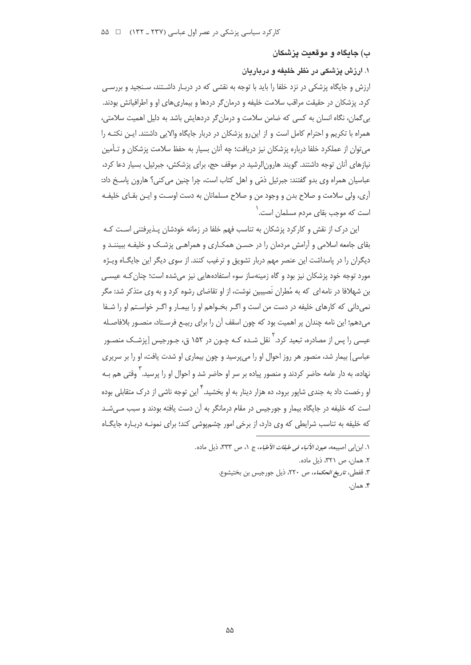ب) جايگاه و موقعيت پزشكان

۱. ارزش یزشکی در نظر خلدفه و درباردان

ارزش و جایگاه پزشکی در نزد خلفا را باید با توجه به نقشی که در دربـار داشـتند، سـنجید و بررسـی کرد. پزشکان در حقیقت مراقب سلامت خلیفه و درمان گر دردها و بیماری های او و اطرافیانش بودند. بی گمان، نگاه انسان به کسی که ضامن سلامت و درمان گر دردهایش باشد به دلیل اهمیت سلامتی، همراه با تکریم و احترام کامل است و از این رو پزشکان در دربار جایگاه والایی داشتند. ایـن نکتـه را میتوان از عملکرد خلفا درباره پزشکان نیز دریافت؛ چه آنان بسیار به حفظ سلامت پزشکان و تـأمین نیازهای آنان توجه داشتند. گویند هارون|لرشید در موقف حج، برای پزشکش، جبرئیل، بسیار دعا کرد، عباسیان همراه وی بدو گفتند: جبرئیل ذمّی و اهل کتاب است، چرا چنین می کنی؟ هارون پاسخ داد: آري، ولي سلامت و صلاح بدن و وجود من و صلاح مسلمانان به دست اوسـت و ايـن بقـاي خليفـه است که موحب بقای مردم مسلمان است.<sup>۱</sup>

این درک از نقش و کارکرد بزشکان به تناسب فهم خلفا در زمانه خودشان پـذیرفتنی اسـت کـه بقای جامعه اسلامی و آرامش مردمان را در حسـن همکـاری و همراهـی پزشـک و خلیفـه ببیننـد و دیگران را در پاسداشت این عنصر مهم دربار تشویق و ترغیب کنند. از سوی دیگر این جایگـاه ویـژه مورد توجه خود پزشکان نیز بود و گاه زمینهساز سوء استفادههایی نیز می شده است؛ چنان کـه عیسـی بن شهلافا در نامه ای که به مُطران نَصبین نوشت، از او تقاضای رشوه کرد و به وی متذکر شد: مگر نمي داني كه كارهاي خليفه در دست من است و اگـر بخـواهم او را بيمـار و اگـر خواسـتم او را شـفا میدهم؛ این نامه چندان پر اهمیت بود که چون اسقف آن را برای ربیـع فرسـتاد، منصـور بلافاصـله عیسی را پس از مصادره، تبعید کرد. ٰ نقل شـده کـه چـون در ۱۵۲ ق، جـورجیس [پزشـک منصـور عباسی] بیمار شد، منصور هر روز احوال او را میپرسید و چون بیماری او شدت یافت، او را بر سریری نهاده، به دار عامه حاضر کردند و منصور پیاده بر سر او حاضر شد و احوال او را پرسید. <sup>۳</sup> وقتی هم بـه او رخصت داد به جندی شاپور برود، ده هزار دینار به او بخشید. <sup>۲</sup> این توجه ناشی از درک متقابلی بوده است که خلیفه در جایگاه بیمار و جورجیس در مقام درمانگر به آن دست یافته بودند و سبب مـیشـد که خلیفه به تناسب شرایطی که وی دارد، از برخی امور چشمپوشی کند؛ برای نمونـه دربـاره جایگـاه

١. ابن ابي اصيبعه، عي*ون الأنباء في طبقات الأطباء*، ج ١، ص ٣٣٣، ذيل ماده. ٢. همان، ص ٣٢١، ذيل ماده. ٣. قفطي، *تاريخ الحكماء، ص ٢٢٠*، ذيل جورجيس بن بختيشوع. ۴. همان.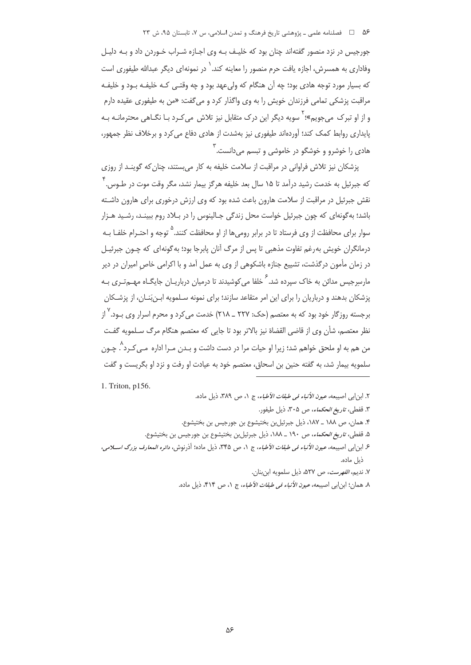۵۶ = 1 فصلنامه علمی ـ یژوهشی تاریخ فرهنگ و تمدن اسلامی، س ۷، تابستان ۹۵، ش ۲۳

جورجيس در نزد منصور گفتهاند چنان بود كه خليـف بـه وي اجـازه شـراب خـوردن داد و بـه دليـل وفاداری به همسرش، اجازه یافت حرم منصور را معاینه کند.<sup>\</sup> در نمونهای دیگر عبدالله طیفوری است که بسیار مورد توجه هادی بود؛ چه اَن هنگام که ولی عهد بود و چه وقتـی کـه خلیفـه بـود و خلیفـه مراقبت پزشکی تمامی فرزندان خویش را به وی واگذار کرد و می گفت: «من به طیفوری عقیده دارم و از او تیرک می جویم»؛ <sup>۲</sup>سویه دیگر این درک متقابل نیز تلاش می کرد یا نگـاهی محترمانـه یـه پایداری روابط کمک کند؛ آوردهاند طیفوری نیز بهشدت از هادی دفاع می کرد و برخلاف نظر جمهور، هاد*ی* را خوشرو و خوشگو در خاموشی و تبسم میدانست.<sup>۳</sup>

پزشکان نیز تلاش فراوانی در مراقبت از سلامت خلیفه به کار میبستند، چنان که گوینـد از روزی که جبرئیل به خدمت رشید درآمد تا ۱۵ سال بعد خلیفه هرگز بیمار نشد، مگر وقت موت در طـوس.۴ نقش جبرئیل در مراقبت از سلامت هارون باعث شده بود که وی ارزش درخوری برای هارون داشـته باشد؛ به گونهای که چون جبرئیل خواست محل زندگی جـالینوس را در بـلاد روم ببینـد، رشـید هـزار سوار برای محافظت از وی فرستاد تا در برابر روم ها از او محافظت کنند.<sup>۵</sup> توجه و احتـرام خلفـا بـه درمانگران خویش به رغم تفاوت مذهبی تا پس از مرگ آنان پابرجا بود؛ به گونهای که چـون جبرئیـل در زمان مأمون درگذشت، تشییع جنازه باشکوهی از وی به عمل آمد و با اکرامی خاص امیران در دیر مارسرجیس مدائن به خاک سپرده شد. <sup>۶</sup> خلفا می کوشیدند تا درمیان درباریــان جایگــاه مهــه *تـ*ری بــه پزشکان بدهند و درباریان را برای این امر متقاعد سازند؛ برای نمونه سـلمویه ابـنِبَنـان، از پزشـکان برجسته روزگار خود بود که به معتصم (حک: ۲۲۷ \_ ۲۱۸) خدمت می کرد و محرم اسرار وی بـود. <sup>۲</sup> از نظر معتصم، شأن وي از قاضي القضاة نيز بالاتر بود تا جايي كه معتصم هنگام مرگ سـلمويه گفـت من هم به او ملحق خواهم شد؛ زيرا او حيات مرا در دست داشت و بـدن مـرا اداره مـي كـرد`. چـون سلمويه بيمار شد، به گفته حنين بن اسحاق، معتصم خود به عيادت او رفت و نزد او بگريست و گفت

1. Triton, p156.

٢. ابن ابي اصيبعه، عي*ون الأنباء في طبقات الأطباء*، ج ١، ص ٣٨٩، ذيل ماده. ٣. قفطي، ت*اريخ الحكماء، ص ٣٠*۵، ذيل طيفور. ۴. همان، ص ١٨٨ \_ ١٨٧، ذيل جبرئيلبن بختيشوع بن جورجيس بن بختيشوع. ۵. قفطی، *تاریخ الحکماء*، ص ۱۹۰ ــ ۱۸۸، ذیل جبرئیلبن بختیشوع بن جورجیس بن بختیشوع. ع ابن ابي اصيبعه، عي*ون الأنباء في طبقات الأطباء*، ج ١، ص ٣٤۵، ذيل ماده؛ أذرنوش، *دائره المعارف بزرگ اســـلامي*، ذيل ماده. ٧. نديم، *الفهرست*، ص ٥٢٧، ذيل سلمويه ابن بنان.

٨. همان؛ ابن|بي اصيبعه، *عيون الأنباء في طبقات الأطباء*، ج ١، ص ٢١۴، ذيل ماده.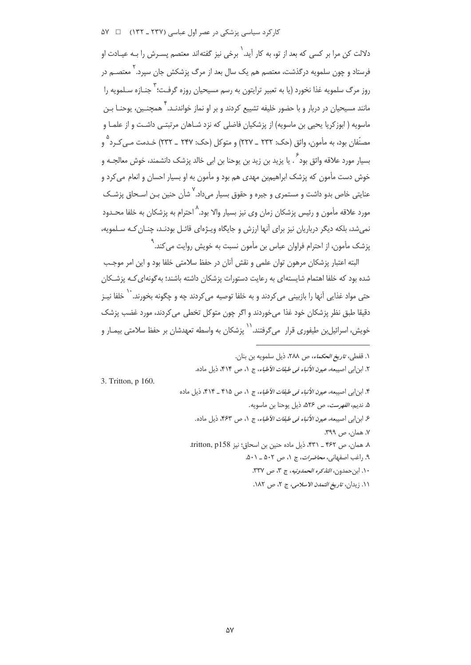کار کرد سیاسی پزشکی در عصر اول عباسی (۲۳۷ ـ ۱۳۲) = ۵۷ ۵

.<br>دلالت کن مرا بر کسی که بعد از تو، به کار آید. ۲ برخی نیز گفته[ند معتصم بسیرش را بـه عبـادت او .<br>فرستاد و چون سلمویه درگذشت، معتصم هم یک سال بعد از مرگ پزشکش جان سپرد. ۲معتصــم در روز مرگ سلمویه غذا نخورد (یا به تعبیر ترایتون به رسم مسیحیان روزه گرفت؛ <sup>۳</sup> جنـازه سـلمویه را .<br>مانند مسیحیان در دربار و با حضور خلیفه تشییع کردند و بر او نماز خواندنــد. "همچنــین، یوحنـا بــن ماسویه ( ابوزکریا یحیی بن ماسویه) از پزشکیان فاضلی که نزد شـاهان مرتبتـی داشـت و از علمـا و مصنّفان بود، به مأمون، واثق (حک: ۲۳۲ \_ ۲۲۷) و متوکل (حک: ۲۴۷ \_ ۲۳۲) خـدمت مـي کـرد <sup>۹</sup> و بسبار مورد علاقه واثق بود ؒ . یا یزید بن زید بن یوحنا بن ابی خالد پزشک دانشمند، خوش معالجــه و خوش دست مأمون که پزشک ابراهیمبن مهدی هم بود و مأمون به او بسیار احسان و انعام می کرد و عنایتی خاص بدو داشت و مستمری و جیره و حقوق بسیار میداد.<sup>۷</sup> شأن حنین بـن اسـحاق پزشـک .<br>مورد علاقه مأمون و رئيس پزشكان زمان وي نيز بسيار والا بود. <sup>۱</sup> حترام به پزشكان به خلفا محـدود نمی شد، بلکه دیگر درباریان نیز برای آنها ارزش و جایگاه ویـژهای قائـل بودنـد، چنـان کـه سـلمویه، م<br>پزشک مأمون، از احترام فراوان عباس بن مأمون نسبت به خویش روایت مے کند. "

البته اعتبار پزشکان مرهون توان علمی و نقش آنان در حفظ سلامتی خلفا بود و این امر موجب شده بود که خلفا اهتمام شایستهای به رعایت دستورات پزشکان داشته باشند؛ به گونهای کـه پزشـکان حتی مواد غذایی آنها را بازبینی می¢ردند و به خلفا توصیه می¢ردند چه و چگونه بخورند. `` خلفا نیـز دقيقا طبق نظر يزشكان خود غذا مى خوردند و اگر چون متوكل تخطى مى كردند، مورد غضب يزشك .<br>خویش، اسرائیل بن طیفوری قرار می5رفتند. `` پزشکان به واسطه تعهدشان بر حفظ سلامتی بیمـار و

3. Tritton, p 160.

١. قفطي، تاريخ *الحكماء، ص ٢٨٨*، ذيل سلمويه بن بنان. ٢. ابن ابي اصبيعه، عب*ون الأنباء في طبقات الأطباء*، ج ١، ص ٣١۴، ذيل ماده. ۴. ابن|بی اصیبعه، *عیون الأنباء فی طبقات الأطباء*، ج ۱، ص ۴۱۵ ـ ۴۱۴، ذیل ماده ۵. نديم، *الفهرست، ص ۵۲۶*، ذيل يوجنا بن ماسويه. ع ابن ابي اصيبعه، *عيون الأنباء في طبقات الأطباء*، ج ١، ص ٤۶٣، ذيل ماده. ٧. همان، ص ٣٩٩. ٨. همان، ص ۴۶۲ \_ ۴۳۱، ذيل ماده حنين بن اسحاق؛ نيز tritton, p158. ٩. راغب اصفهاني، محاضرات، ج ١، ص ٥٠٢ \_ ٥٠١. ١٠. ابن حمدون، *التذكره الحمدونيه*، ج ٣، ص ٣٣٧. ١١. زيدان، ت*اريخ التمدن الاسلامي*، ج ٢، ص ١٨٢.

 $\Delta V$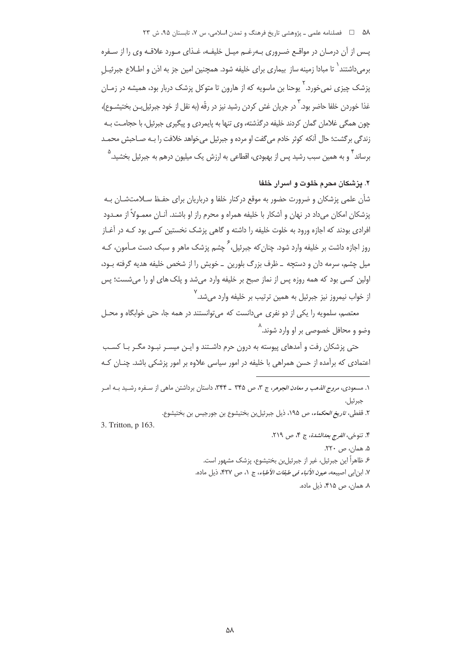۵۸ = □ فصلنامه علمی ـ یژوهشی تاریخ فرهنگ و تمدن اسلامی، س ۷، تابستان ۹۵، ش ۲۳

یس از آن درمـان در مواقـع ضـروری بـهرغـم میـل خلیفـه، غـذای مـورد علاقـه وی را از سـفره برمیداشتند<sup>۱</sup> تا مبادا زمینه ساز بیماری برای خلیفه شود. همچنین امین جز به اذن و اطـلاع جبرئیـلِ پزشک چیز*ی* نمیخورد.<sup>۲</sup> یوحنا بن ماسویه که از هارون تا متوکل پزشک دربار بود، همیشه در زمــان غذا خوردن خلفا حاضر بود. ` در جريان غش كردن رشيد نيز در رقّه (به نقل از خود جبرئيل بـن بختيشــوع)، چون همگی غلامان گمان کردند خلیفه درگذشته، وی تنها به پایمردی و پیگیری جبرئیل، با حجامـت بـه زندگی برگشت؛ حال آنکه کوثر خادم میگفت او مرده و جبرئیل میخواهد خلافت را بـه صـاحبش محمـد برساند <sup>۲</sup>و به همین سبب رشید پس از بهبودی، اقطاعی به ارزش یک میلیون درهم به جبرئیل بخشید. <sup>۵</sup>

## ۲. یزشکان محرم خلوت و اسرار خلفا

شأن علمی پزشکان و ضرورت حضور به موقع درکنار خلفا و درباریان برای حفـظ سـلامتشـان بـه یزشکان امکان می داد در نهان و آشکار با خلیفه همراه و محرم راز او باشند. آنـان معمـولاً از معـدود افرادی بودند که اجازه ورود به خلوت خلیفه را داشته و گاهی پزشک نخستین کسی بود کـه در آغـاز روز اجازه داشت بر خلیفه وارد شود. چنان که جبرئیل، <sup>گ</sup> چشم پزشک ماهر و سبک دس*ت م*ــأمون، کــه میل چشم، سرمه دان و دستچه \_ ظرف بزرگ بلورین \_ خویش را از شخص خلیفه هدیه گرفته بـود، اولین کسی بود که همه روزه پس از نماز صبح بر خلیفه وارد میشد و پلک های او را میشست؛ پس از خواب نيمروز نيز جبرئيل به همين ترتيب بر خليفه وارد مي شد.<sup>٧</sup>

معتصم، سلمویه را یکی از دو نفری میدانست که می توانستند در همه جا، حتی خوابگاه و محـل وضو و محافل خصوصی بر او وارد شوند.^

حتی پزشکان رفت و آمدهای پیوسته به درون حرم داشـتند و ایـن میسـر نبـود مگـر بـا کسـب اعتمادی که برآمده از حسن همراهی با خلیفه در امور سیاسی علاوه بر امور پزشکی باشد. چنـان کـه

- ۱. مسعودی، *مروج الذهب و معادن الجوهر*، ج ۳، ص ۳۴۵ ـ ۳۴۴، داستان برداشتن ماهی از سـفره رشـيد بـه امـر جبرئيل.
	- ٢. قفطي، *تاريخ الحكماء*، ص ١٩٥، ذيل جبرئيلبن بختيشوع بن جورجيس بن بختيشوع.

3. Tritton, p 163.

- ۴. تنوخي، *الفرج بعدالشدة*، ج ۴، ص ٢١٩. ۵. همان، ص ۲۲۰. ۶. ظاهراً این جبرئیل، غیر از جبرئیل بن بختیشوع، پزشک مشهور است. ٧. ابن|بی اصیبعه، *عیون الأنباء فی طبقات الأطباء*، ج ١، ص ٣٢٧، ذیل ماده.
	- ٨. همان، ص ۴۱۵، ذيل ماده.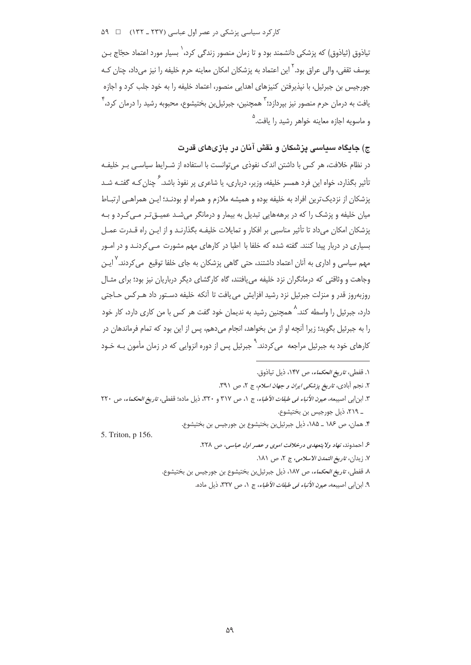کار کرد سیاسی پزشکی در عصر اول عباسی (۲۳۷ ـ ۱۳۲) = ۵۹

تیاذوق (ثیاذوق) که پزشکی دانشمند بود و تا زمان منصور زندگی کرد،<sup>\</sup> بسیار مورد اعتماد حجّاج بـن یوسف ثقفی، والی عراق بود.<sup>۲</sup> این اعتماد به پزشکان امکان معاینه حرم خلیفه را نیز می داد، چنان کـه جورجيس بن جبرئيل، با نيذيرفتن كنيزهاى اهدايي منصور، اعتماد خليفه را به خود جلب كرد و اجازه یافت به درمان جرم منصور نیز بیردازد؛ ۳ همچنین، جبرئیل بن بختیشوع، محبوبه رشید را درمان کرد، ۴ و ماسویه اجازه معاینه خواهر رشید را یافت.<sup>۵</sup>

# ج) جایگاه سیاسی پزشکان و نقش آنان در بازیهای قدرت

در نظام خلافت، هر کس با داشتن اندک نفوذی می توانست با استفاده از شـرایط سیاسـی بـر خلیفـه ۔<br>تأثیر بگذارد، خواہ این فرد همسر خلیفه، وزیر، درباری، یا شاعری پر نفوذ باشد. É چنان *ک*ـه گفتـه شــد يزشكان از نزديك ترين افراد به خليفه بوده و هميشه ملازم و همراه او بودنـد؛ ايـن همراهـي ارتبـاط میان خلیفه و پزشک را که در برهههایی تبدیل به بیمار و درمانگر میشـد عمیــقتـر مــی کــرد و بـه یزشکان امکان می داد تا تأثیر مناسبی بر افکار و تمایلات خلیفـه بگذارنـد و از ایـن راه قـدرت عمـل بسیاری در دربار پیدا کنند. گفته شده که خلفا با اطبا در کارهای مهم مشورت مـی¢ردنـد و در امـور مهم سیاسی و اداری به آنان اعتماد داشتند، حتی گاهی پزشکان به جای خلفا توقیع می *ک*ردند.<sup>۷</sup> ایـن وجاهت و وثاقتی که درمانگران نزد خلیفه می یافتند، گاه کارگشای دیگر درباریان نیز بود؛ برای مثـال روزبهروز قدر و منزلت جبرئيل نزد رشيد افزايش مي يافت تا آنكه خليفه دستور داد هـركس حـاجتى دارد، جبرئیل را واسطه کند.<sup>۸</sup> همچنین رشید به ندیمان خود گفت هر کس با من کاری دارد، کار خود را به جبرئیل بگوید؛ زیرا آنچه او از من بخواهد، انجام می دهم، پس از این بود که تمام فرماندهان در کارهای خود به جبرئیل مراجعه می کردند. <sup>۹</sup> جبرئیل پس از دوره انزوایی که در زمان مأمون بـه خـود

۱. قفطی، ت*اریخ الحکماء*، ص ۱۴۷، ذیل تیاذوق. ۲. نحیہ آبادی، تاری*خ پزشکی ایران و حعان اسلام*، ج ۲، ص ۳۹۱. ٣. ابن ابي اصيبعه، *عيون الأنباء في طبقات الأطباء*، ج ١، ص ٣١٧ و ٣٢٠، ذيل ماده؛ قفطي، *تاريخ الحكماء*، ص ٢٢٠ \_ ٢١٩، ذيل جورجيس بن بختيشوع. ۴. همان، ص ١٨۶ \_ ١٨۵، ذيل جبرئيلبن بختيشوع بن جورجيس بن بختيشوع. 5. Triton, p 156. ۶ احمدوند، نهاد ولا يتعهدي درخلافت *اموي و عصر اول عباسي، ص ٢*٢٨. ٧. زيدان، تاريخ التمدن الاسلامي، ج ٢، ص ١٨١. ٨. قفطي، تاري*غ الحكماء*، ص ١٨٧، ذيل جبرئيل بن بختيشوع بن جورجيس بن بختيشوع.

۹. ابن ابي اصيبعه، *عيون الأنباء في طبقات الأطباء*، ج ١، ص ٣٢٧، ذيل ماده.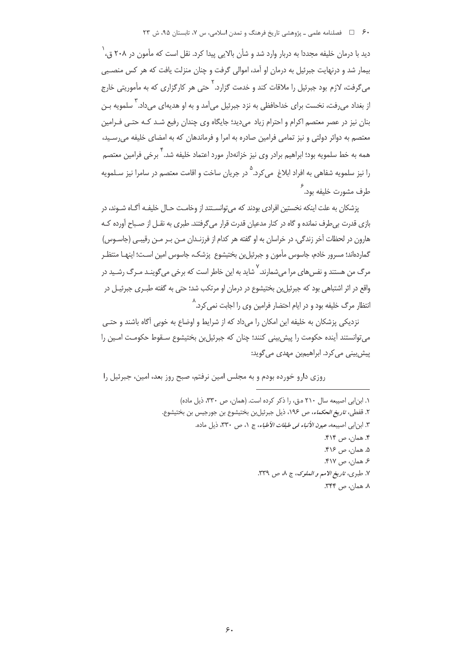دید با درمان خلیفه مجددا به دربار وارد شد و شأن بالایی پیدا کرد. نقل است که مأمون در ۲۰۸ ق، <sup>(</sup> بیمار شد و درنهایت جبرئیل به درمان او آمد، اموالی گرفت و چنان منزلت یافت که هر کس منصـبی می گرفت، لازم بود جبرئیل را ملاقات کند و خدمت گزارد. <sup>۲</sup> حتی هر کارگزاری که به مأموریتی خارج از بغداد می رفت، نخست برای خداحافظی به نزد جبرئیل می آمد و به او هدیهای می داد. <sup>۲</sup> سلمویه بـن بنان نیز در عصر معتصم اکرام و احترام زیاد می دید؛ جایگاه وی چندان رفیع شـد کـه حتـی فـرامین معتصم به دوائر دولتی و نیز تمامی فرامین صادره به امرا و فرماندهان که به امضای خلیفه می رسـید، همه به خط سلمویه بود؛ ابراهیم برادر وی نیز خزانهدار مورد اعتماد خلیفه شد. ٰ برخی فرامین معتصم را نيز سلمويه شفاهي به افراد ابلاغ مي كرد. <sup>۵</sup> در جريان ساخت و اقامت معتصم در سامرا نيز سـلمويه طرف مشورت خلیفه بود. <sup>۶</sup>

يزشكان به علت اينكه نخستين افرادي بودند كه مي توانسـتند از وخامـت حـال خليفـه آگـاه شـوند، در بازی قدرت بے طرف نماندہ و گاہ در کنار مدعیان قدرت قرار مے گرفتند. طبری به نقــل از صــباح آوردہ کــه هارون در لحظات آخر زندگی، در خراسان به او گفته هر کدام از فرزنـدان مـن بـر مـن رقیبـی (جاسـوس) گماردهاند؛ مسرور خادم، جاسوس مأمون و جبرئیل بن بختیشوع پزشک، جاسوس امین اسـت؛ اینهـا منتظـر مرگ من هستند و نفس های مرا می شمارند. <sup>۷</sup> شاید به این خاطر است که برخی می گوی*نـد مـ*رگ رشـید در واقع در اثر اشتباهی بود که جبرئیل بن بختیشوع در درمان او مرتکب شد؛ حتی به گفته طبـری جبرئیـل در انتظار مرگ خلیفه بود و در ایام احتضار فرامین وی را اجابت نمی *ک*رد.^

نزدیکی پزشکان به خلیفه این امکان را میداد که از شرایط و اوضاع به خوبی آگاه باشند و حتـی می توانستند آینده حکومت را پیش بینی کنند؛ چنان که جبرئیل بن بختیشوع سـقوط حکومـت امـین را پیش بینی می کرد. ابراهیمبن مهدی می گوید:

روزی دارو خورده بودم و به مجلس امین نرفتم، صبح روز بعد، امین، جبرئیل را

١. ابن ابی اصیبعه سال ٢١٠ ه.ق، را ذكر كرده است. (همان، ص ٣٣٠، ذيل ماده) ٢. قفطي، *تاريخ الحكماء*، ص ١٩۶، ذيل جبرئيلبن بختيشوع بن جورجيس بن بختيشوع. ٣. ابنابي اصيبعه، *عيون الأنباء في طبقات الأطباء*، ج ١، ص ٣٣٠، ذيل ماده. ۴. همان، ص ۴۱۴. ۵. همان، ص ۴۱۶. ۶. همان، ص ۴۱۷. ٧. طبري، تاريخ الأمم و الملوك، ج ٨، ص ٣٣٩. ٨. همان، ص ٣۴۴.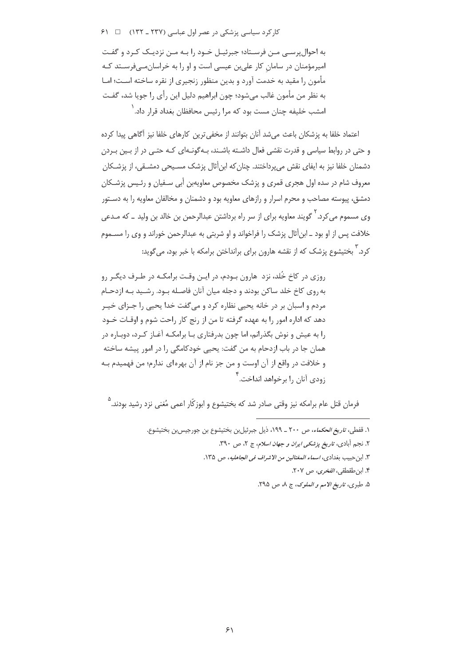$91 \square$  (1۳۲ ـ ۱۳۲۲) کار کرد سیاسی زن شکی در عصر اول عباسی (۲۳۷ ـ ۲۳۲)

به احوال پرسے مـن فرسـتاد؛ جبرئیـل خـود را بـه مـن نزدیـک کـرد و گفـت امیرمؤمنان در سامان کار علی بن عیسی است و او را به خراسان مے فرسـتد کـه مأمون را مقيد به خدمت آورد و بدين منظور زنجيري از نقره ساخته اسـت؛ امـا به نظر من مأمون غالب ميشود؛ چون ابراهيم دليل اين رأي را جويا شد، گفت امشب خلیفه چنان مست بود که مرا <sub>د</sub>ئیس محافظان بغداد قرا<sub>د</sub> داد.<sup>\</sup>

اعتماد خلفا به یزشکان باعث می شد آنان بتوانند از مخفی ترین کارهای خلفا نیز آگاهی پیدا کرده و حتی در روابط سیاسی و قدرت نقشی فعال داشته باشـند، بـه گونـهای کـه حتـی در از بـین بـردن دشمنان خلفا نیز به ایفای نقش میپرداختند. چنان که ابن|ثال پزشک مسـیحی دمشـقی، از پزشـکان معروف شام در سده اول هجری قمری و پزشک مخصوص معاویهین أبی سـفیان و رئـیس پزشـکان دمشق، پیوسته مصاحب و محرم اسرار و رازهای معاویه بود و دشمنان و مخالفان معاویه را به دسـتور وی مسموم می کرد. <sup>۲</sup> گویند معاویه برای از سر راه برداشتن عبدالرحمن بن خالد بن ولید ــ که مـدعی خلافت پس از او بود \_ ابنأثال پزشک را فراخواند و او شربتی به عبدالرحمن خوراند و وی را مســموم کرد.<sup>۳</sup> بختیشوع پزشک که از نقشه هارون برای برانداختن برامکه با خبر بود، میگوید:

روزی در کاخ خُلد، نزد هارون بـودم، در ایـن وقـت برامکـه در طـرف دیگـر رو به٫وی کاخ خلد ساکن بودند و دجله میان آنان فاصـله بـود. ٫شـید بـه ازدحـام مردم و اسبان بر در خانه يحيى نظاره كرد و ميگفت خدا يحيى را جـزاي خيـر دهد که اداره امور را به عهده گرفته تا من از رنج کار راحت شوم و اوقـات خـود را به عیش و نوش بگذرانم، اما چون بدرفتاری بـا برامکـه آغـاز کـرد، دوبـاره در همان جا در باب ازدحام به من گفت: یحیی خودکامگی را در امور پیشه ساخته و خلافت در واقع از آن اوست و من جز نام از آن بهرهای ندارم؛ من فهمیدم بـه .<br>دودي آنان را پرخواهد انداخت.<sup>۴</sup>

.<br>فرمان قتل عام برامکه نیز وقت*ی* صادر شد که بختیشوع و ابوزکّار اعمی مُغنی نزد رشید بودند.<sup>۵</sup>

- ١. قفطي، *تاريخ الحكماء*، ص ٢٠٠ \_ ١٩٩، ذيل جبرئيل بن بختيشوع بن جورجيس بن بختيشوع.
	- ۲. نجم آبادی، *تاریخ پزشکی ایران و جهان اسلام*، ج ۲، ص ۳۹۰.
	- ٣. ابن حبيب بغدادي، *اسماء المغتالين من الاشراف في الجاهليه*، ص ١٣۵.
		- ۴. ابن طقطقي، *الفخرى*، ص ٢٠٧.

۵. طبري، تاريخ الامم و الملوك، ج ٨، ص ٢٩۵.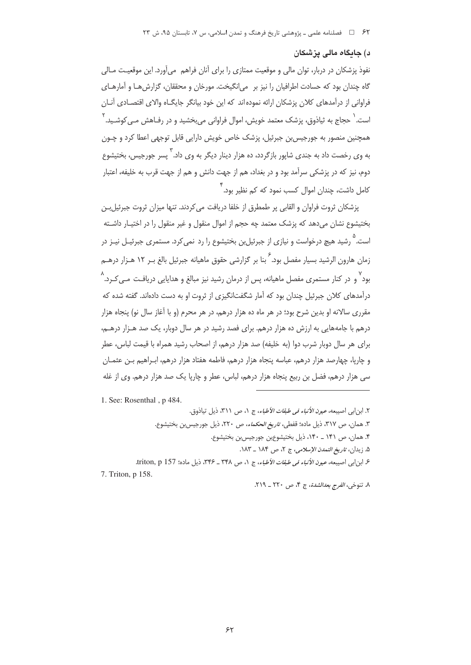## د) جاىگاه مالى يزشكان

نفوذ پزشکان در دربار، توان مالی و موقعیت ممتازی را برای آنان فراهم ٍ میآورد. این موقعیت مـالی گاه چندان بود که حسادت اطرافیان را نیز بر ٍ می(نگیخت. مورخان و محققان، گزارش هـا و آمارهـای فراوانی از درآمدهای کلان پزشکان ارائه نموده اند که این خود بیانگر جایگـاه والای اقتصـادی آنـان است. ٰ حجاج به ثیاذوق، پزشک معتمد خویش، اموال فراوانی می،بخشید و در رفـاهش مـی کوشــید. <sup>۲</sup> همچنین منصور به جورجیس بن جبرئیل، پزشک خاص خویش دارایی قابل توجهی اعطا کرد و چـون په وي رخصت داد په چندي شايور بازگردد، ده هزار دينار ديگر په وي داد. "پسر چورچيس، بختيشوع دوم، نیز که در پزشکی سرآمد بود و در بغداد، هم از جهت دانش و هم از جهت قرب به خلیفه، اعتبار ِ<br>کامل داشت، چندان اموال کسب نمود که کم نظیر بود. <sup>۴</sup>

يزشكان ثروت فراوان و القابي پر طمطرق از خلفا دريافت مي كردند. تنها ميزان ثروت جبرئيل بـن بختیشوع نشان می دهد که پزشک معتمد چه حجم از اموال منقول و غیر منقول را در اختیـار داشـته است. <sup>0</sup> رشید هیچ درخواست و نیازی از جبرئیل بن بختیشوع را رد نمی کرد. مستمری جبرئیـل نیـز در زمان هارون الرشيد بسيار مفصل بود.<sup>۶</sup> بنا بر گزارشی حقوق ماهيانه جبرئيل بالغ بـر ۱۲ هـزار درهــم ر<br>بود و در کنار مستمری مفصل ماهیانه، پس از درمان رشید نیز مبالغ و هدایایی دریافت مــ، کـرد. " درآمدهای کلان جبرئیل چندان بود که آمار شگفتانگیزی از ثروت او به دست دادهاند. گفته شده که مقرری سالانه او بدین شرح بود؛ در هر ماه ده هزار درهم، در هر محرم (و با آغاز سال نو) پنجاه هزار درهم با جامههایی به ارزش ده هزار درهم. برای فصد رشید در هر سال دوبار، یک صد هـزار درهــم، برای هر سال دوبار شرب دوا (به خلیفه) صد هزار درهم، از اصحاب رشید همراه با قیمت لباس، عطر و جاریا، جهارصد هزار درهم، عباسه پنجاه هزار درهم، فاطمه هفتاد هزار درهم، اب اهیم بن عثمیان سی هزار درهم، فضل بن ربیع بنجاه هزار درهم، لباس، عطر و جاریا یک صد هزار درهم. وی از غله

1. See: Rosenthal, p 484.

٢. ابن ابي اصيبعه، *عيون الأنباء في طبقات الأطباء*، ج ١، ص ٣١١، ذيل تياذوق.

٣. همان، ص ٣١٧، ذيل ماده؛ قفطي، ت*اريخ الحكماء، ص ٢٢٠،* ذيل جورجيسبن بختيشوع.

۴. همان، ص ۱۴۱ \_ ۱۴۰، ذيل بختيشوعبن جورجيس بن بختيشوع.

۵. زيدان، تاري*خ التمدن الإسلامي،* ج ٢، ص ١٨۴ \_ ١٨٣.

ع ابن ابي اصيبعه، *عيون الأنباء في طبقات الأطباء*، ج ١، ص ٣٢٨ \_ ٣٣۶، ذيل ماده؛ triton, p 157.

<sup>7.</sup> Triton, p 158.

٨. تنوخي، *الفرج بعدالشدة*، ج ۴، ص ٢٢٠ ـ ٢١٩.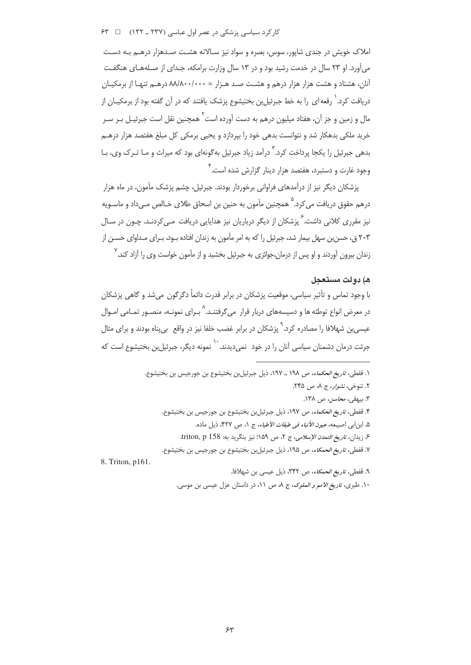$94$   $\Box$  (١٣٢ ـ ١٣٢) کار کرد سیاسی زشکی در عصر اول عباسی (١٣٢ ـ ١٣٢)

املاک خویش در جندی شایور، سوس، بصره و سواد نیز سـالانه هشـت صـدهزار درهــم بـه دسـت می آورد. او ۲۳ سال در خدمت رشید بود و در ۱۳ سال وزارت برامکه، جـدای از صـلههـای هنگفـت آنان، هشتاد و هشت هزار هزار درهم و هشـت صـد هـزار = ۸۸/۸۰۰/۰۰۰ درهـم تنهـا از برمكيـان دریافت کرد.<sup>\</sup> رقعه|ی را به خط جبرئیلبن بختیشوع پزشک یافتند که در آن گفته بود از برمکیــان از مال و زمین و جز آن، هفتاد میلیون درهم به دست آورده است<sup>۲</sup> همچنین نقل است جبرئیـل بـر سـر خرید ملکی بدهکار شد و نتوانست بدهی خود را بیردازد و یحیی برمکی کل مبلغ هفتصد هزار درهــم بدهی جبرئیل را یکجا پرداخت کرد.<sup>۳</sup> درآمد زیاد جبرئیل بهگونهای بود که میراث و مـا تـرک وی، بـا وجود غارت و دستبرد، هفتصد هزار دینار گزارش شده است.<sup>۴</sup>

پزشکان دیگر نیز از درآمدهای فراوانی برخوردار بودند. جبرئیل، چشم پزشک مأمون، در ماه هزار درهم حقوق دريافت مي¢د.<sup>۵</sup> همچنين مأمون به حنين بن اسحاق طلاي خـالص مـي داد و ماسـويه نیز مقرری کلانی داشت.<sup>۶</sup> پزشکان از دیگر درباریان نیز هدایایی دریافت مے کردنـد. چـون در سـال ۲۰۳ ق، حسن بن سهل پیمار شد، جبرئیل را که به امر مأمون به زندان افتاده بـود، بـرای مـداوای حسـن از زندان بیرون آوردند و او پس از درمان،جوائزی به جبرئیل بخشید و از مأمون خواست وی را آزاد کند.<sup>۷</sup>

## ه) دولت مستعجل

با وجود تماس و تأثیر سیاسی، موقعیت پزشکان در برابر قدرت دائماً دگرگون می شد و گاهی پزشکان در معرض انواع توطئه ها و دسیسههای دربار قرار می5رفتنـد.^ بـرای نمونـه، منصـور تمـامی امـوال عیسی،بن شهلافا را مصادره کرد.<sup>۹</sup> پزشکان در برابر غضب خلفا نیز در واقع بی،پناه بودند و برای مثال جرئت درمان دشمنان سیاسی آنان را در خود نمیدیدند. `` نمونه دیگر، جبرئیلبن بختیشوع است که

١. قفطي، *تاريخ الحكماء*، ص ١٩٨ \_ ١٩٧، ذيل جبرئيلبن بختيشوع بن جورجيس بن بختيشوع. ٢. تنوخي، *نشوار*، ج ٨، ص ٢۴۵. ٣. بيهقي، محاسن، ص ١٣٨. ۴. قفطي، *تاريخ الحكماء*، ص ١٩٧، ذيل جبرئيلبن بختيشوع بن جورجيس بن بختيشوع. ۵. ابن|بي اصيبعه، *عيون الأنباء في طبقات الأطباء*، ج ١، ص ۴۲۷، ذيل ماده. ع زيدان، *تاريخ التمدن الإسلامي*، ج ٢، ص ١۵٩؛ نيز بنگريد به: 158 triton, p. ٧. قفطي، ت*اريخ الحمكاء*، ص ١٩٥، ذيل جبرئيلبن بختيشوع بن جورجيس بن بختيشوع. 8. Triton, p161. ٩. قفطي، ت*اريخ الحمكاء*، ص ٣٣٢، ذيل عيسى بن شهلافا. ۱۰. طبري، ت*اريخ الامم و الملوک*، ج ٨، ص ١١، در داستان عزل عيسى بن موسى.

 $54$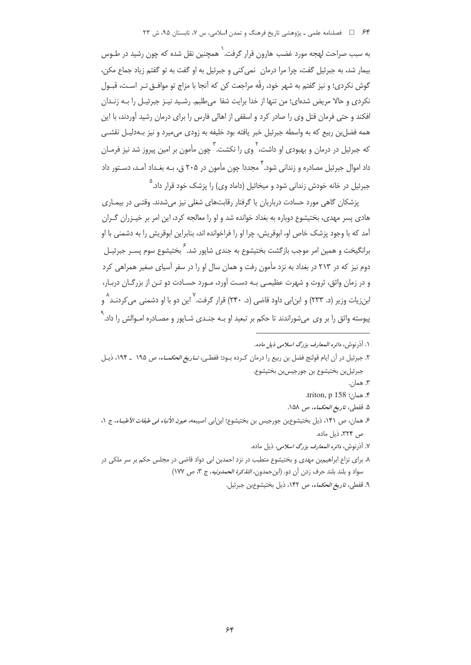## ۶۴ = ح فصلنامه علمی ـ یژوهشی تاریخ فرهنگ و تمدن اسلامی، س ۷، تابستان ۹۵، ش ۲۳

به سبب صراحت لهجه مورد غضب هارون قرار گرفت. ` همچنین نقل شده که چون رشید در طـوس بیمار شد، به جبرئیل گفت، چرا مرا درمان ِ نمی کنی و جبرئیل به او گفت به تو گفتم زیاد جماع مکن، گوش نکردی؛ و نیز گفتم به شهر خود، رقّه مراجعت کن که آنجا با مزاج تو موافــق تــر اســت، قبــول نکردی و حالا مریض شدهای؛ من تنها از خدا برایت شفا ً میطلبم. رشـید نیـز جبرئیـل را بـه زنـدان افکند و حتی فرمان قتل وی را صادر کرد و اسقفی از اهالی فارس را برای درمان رشید آوردند، با این همه فضل بن ربیع که به واسطه جبرئیل خبر یافته بود خلیفه به زودی می،میرد و نیز بـهدلیـل نقشـی که جبرئیل در درمان و بهبودی او داشت، <sup>۲</sup> وی را نکشت. <sup>۳</sup> چون مأمون بر امین پیروز شد نیز فرمـان داد اموال جبرئیل مصادره و زندانی شود.<sup>۴</sup> مجددا چون مأمون در ۲۰۵ ق، بـه ب*غ*ـداد آمـد، دسـتور داد جبرئیل در خانه خودش زندانی شود و میخائیل (داماد وی) را پزشک خود قرار داد. <sup>۵</sup>

پزشکان گاهی مورد حسادت درباریان یا گرفتار رقابتهای شغلی نیز میشدند. وقتـی در بیمـاری هادی پسر مهدی، بختیشوع دوباره به بغداد خوانده شد و او را معالجه کرد، این امر بر خیـزران گـران آمد که با وجود پزشک خاص او، ابوقریش، چرا او را فراخوانده اند، بنابراین ابوقریش را به دشمنی با او برانگیخت و همین امر موجب بازگشت بختیشوع به جندی شایور شد.  $\mathop{^\times}$  بختیشوع سوم پسـر جبرئیـل دوم نیز که در ۲۱۳ در بغداد به نزد مأمون رفت و همان سال او را در سفر آسیای صغیر همراهی کرد و در زمان واثق، ثروت و شهرت عظیمـی بـه دسـت آورد، مـورد حسـادت دو تـن از بزرگـان دربـار، ابنزیات وزیر (د. ۲۳۳) و ابن|بی داود قاضی (د. ۲۴۰) قرار گرفت.<sup>۷</sup> این دو با او دشمنی می *ک*ردنــد<sup>^</sup> و پیوسته واثق را بر وی میشوراندند تا حکم بر تبعید او بــه جنــدی شــاپور و مصــادره امــوالش را داد.<sup>۹</sup>

۲. جبرئیل در آن ایام قولنج فضل بن ربیع را درمان کـرده بـود؛ قفطـی، *تــاریغ الحکمــاء*، ص ۱۹۵ ـ ۱۹۴، ذیــل جبرئيلبن بختيشوع بن جورجيس;ن بختيشوع.

٣. همان.

- ۴. همان: triton, p 158.
- ۵. قفطي، *تاريخ الحكماء*، ص ۱۵۸.
- ع همان، ص ١۴١، ذيل بختيشوعين جورجيس بن بختيشوع؛ ابن ابي اصيبعه، *عيون الأنباء في طبقات الأطبـاء،* ج ١، ص ۳۲۴، ذیل ماده.
	- ٧. أذرنوش، *دائره المعارف بزرگ اسلامی،* ذیل ماده.
- ۸. برای نزاع ابراهیمبن مهدی و بختیشوع متطبب در نزد احمدبن ابی دواد قاضی در مجلس حکم بر سر ملکی در سواد و بلند بلند حرف زدن آن دو. (ابن حمدون، *التذكرة الحمدونيه*، ج ٣، ص ١٧٧)
	- ٩. قفطي، *تاريخ الحكماء*، ص ١۴٢، ذيل بختيشوعبن جبرئيل.

۱. آذ<sub>د</sub> نوش، د*ائره المعا*رف بزرگ اسلامی ذیل ماده.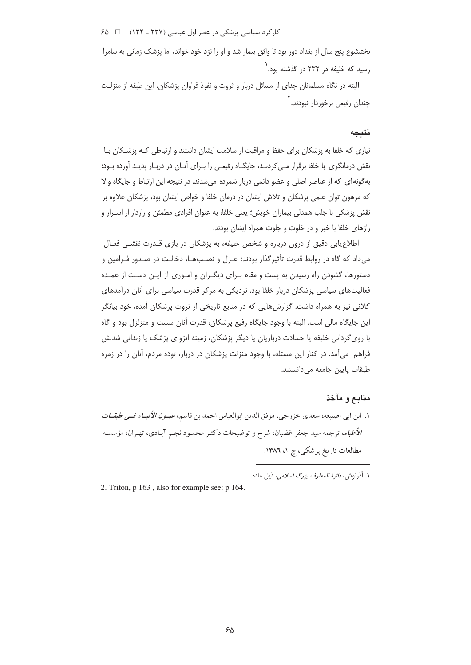کار کرد سیاسی پزشکی در عصر اول عباسی (۲۳۷ ـ ۲۳۲) ۔ تا ۶۵

بختیشوع پنج سال از بغداد دور بود تا واثق بیمار شد و او را نزد خود خواند، اما پزشک زمانی به سامرا , سید که خلیفه د, ۲۳۲ د<sub>ر</sub> گذشته بود. <sup>۱</sup>

البته در نگاه مسلمانان جدای از مسائل دربار و ثروت و نفوذ فراوان پزشکان، این طبقه از منزلـت چندان رفی*عی* برخوردار نبودند. <sup>۲</sup>

### نتىحە

نیازی که خلفا به پزشکان برای حفظ و مراقبت از سلامت ایشان داشتند و ارتباطی کـه پزشـکان بـا نقش درمانگری با خلفا برقرار مے کردنـد، جایگـاه رفیعـی را بـرای آنـان در دربـار پدیـد آورده بـود؛ به گونه ای که از عناصر اصلی و عضو دائمی دربار شمرده میشدند. در نتیجه این ارتباط و جایگاه والا که مرهون توان علمی پزشکان و تلاش ایشان در درمان خلفا و خواص ایشان بود، پزشکان علاوه بر نقش پزشکی با جلب همدلی بیماران خویش؛ یعنی خلفا، به عنوان افرادی مطمئن و رازدار از اسـرار و رازهای خلفا با خبر و در خلوت و جلوت همراه ایشان بودند.

اطلاع یابی دقیق از درون درباره و شخص خلیفه، به پزشکان در بازی قـدرت نقشـی فعـال می داد که گاه در روابط قدرت تأثیرگذار بودند؛ عـزل و نصـبهـا، دخالـت در صـدور فـرامین و دستورها، گشودن راه رسیدن به پست و مقام برای دیگران و اموری از این دست از عمده فعالیتهای سیاسی پزشکان دربار خلفا بود. نزدیکی به مرکز قدرت سیاسی برای آنان درآمدهای کلانی نیز به همراه داشت. گزارش هایی که در منابع تاریخی از ثروت پزشکان آمده، خود بیانگر این جایگاه مالی است. البته با وجود جایگاه رفیع پزشکان، قدرت آنان سست و متزلزل بود و گاه با روی گردانی خلیفه یا حسادت درباریان یا دیگر پزشکان، زمینه انزوای پزشک یا زندانی شدنش فراهم. می آمد. در کنار این مسئله، با وجود منزلت پزشکان در دربار، توده مردم، آنان را در زمره طبقات پایین جامعه می دانستند.

## منابع و مآخذ

١. ابن ابي اصيبعه، سعدي خزرجي، موفق الدين ابوالعباس احمد بن قاسم، عيــون *الأنبــاء فــي طبقــات* الأطباء، ترجمه سيد جعفر غضبان، شرح و توضيحات دكتـر محمـود نجـم آبـادي، تهـران، مؤسسـه مطالعات تاریخ پزشکی، چ ۱، ۱۳۸٦.

2. Triton, p 163, also for example see: p 164.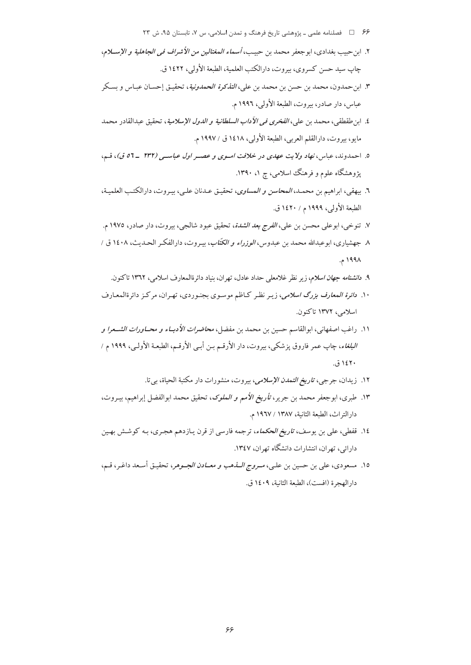- ۶۶ = 1 فصلنامه علمی ـ پژوهشی تاریخ فرهنگ و تمدن اسلامی، س ۷، تابستان ۹۵، ش ۲۳
- ٢. ابن حبيب بغدادي، ابوجعفر محمد بن حبيب، *أسماء المغتالين من الأشراف في الجاهلية و الإس*ــلام، جاب سيد حسن كسروي، بيروت، دارالكتب العلمية، الطبعة الأولى، ١٤٢٢ ق.
- ٣. ابن<مدون، محمد بن حسن بن محمد بن علي، *التذكرة الحمدونية*، تحقيـق إحسـان عبـاس و بسـكر عباس، دار صادر، بيروت، الطبعة الأولى، ١٩٩٦ م.
- ٤. ابن طقطقي، محمد بن علي، *الفخرى في الأداب السلطانية و الدول الإسلامية*، تحقيق عبدالقادر محمد مايو ، بيروت، دارالقلم العربي، الطبعة الأولى، ١٤١٨ ق / ١٩٩٧ م.
- ٥. احمدوند، عباس، نهاد ولايت عهدى در خلافت اسوى و عصر اول عباسى (٢٣٢ -٥٦ ق)، قم، یژوهشگاه علوم و فرهنگ اسلامی، چ ۱، ۱۳۹۰.
- ٦. بيهقي، ابراهيم بن محمـد، *المحاسن و المساوى*، تحقيـق عـدنان علـي، بيـروت، دارالكتـب العلميـة، الطبعة الأولى، ١٩٩٩ م / ١٤٢٠ ق.
- ٧. تنوخي، ابوعلي محسن بن علي، *الفرج بعد الشدة*، تحقيق عبود شالجي، بيروت، دار صادر، ١٩٧٥ م.
- ٨ جهشياري، ابوعبدالله محمد بن عبدوس، *الوزراء و الكتّاب*، بيـروت، دارالفكـر الحـديث، ١٤٠٨ ق / ۱۹۹۸ م.
	- ۹. د*انشنامه جهان اسلام*، زیر نظر غلامعلی حداد عادل، تهران، بنیاد دائرةالمعارف اسلامی، ۱۳٦۲ تاکنون.
- ۱۰. *دائرة المعارف بزرگ اسلامی*، زیـر نظـر کـاظم موسـوی بجنـوردی، تهـران، مرکـز دائرةالمعـارف اسلامي، ۱۳۷۲ تاكنون.
- ١١. راغب اصفهاني، ابوالقاسم حسين بن محمد بن مفضل، *محاضرات الأدبــاء و محــاورات الشــعرا و البلغاء*، چاپ عمر فاروق پزشکی، بیروت، دار الأرقـم بـن أبـي الأرقـم، الطبعـة الأولـي، ١٩٩٩ م / ۱٤٢٠ ق.
	- ۱۲. زيدان، جرجي، *تاريخ التمدن الإسلامي*، بيروت، منشورات دار مكتبة الحياة، بي تا.
- ١٣. طبري، ابوجعفر محمد بن جرير، ت*أريخ الأمم و الملوك*، تحقيق محمد ابوالفضل إبراهيم، بيـروت، دار التراث، الطبعة الثانية، ١٣٨٧ / ١٩٦٧ م.
- ۱۶. قفطی، علی بن یوسف، *تاریخ الحکماء*، ترجمه فارسی از قرن پـازدهم هجـری، بـه کوشـش بهـین دارائی، تهران، انتشارات دانشگاه تهران، ۱۳٤۷.
- ١٥. مسعودي، علي بن حسين بن علـي، *مــروج الـــذهب و معـــادن الجــوهر*، تحقيـق أسـعد داغـر، قــم، دار الهجرة (افست)، الطبعة الثانية، ١٤٠٩ ق.